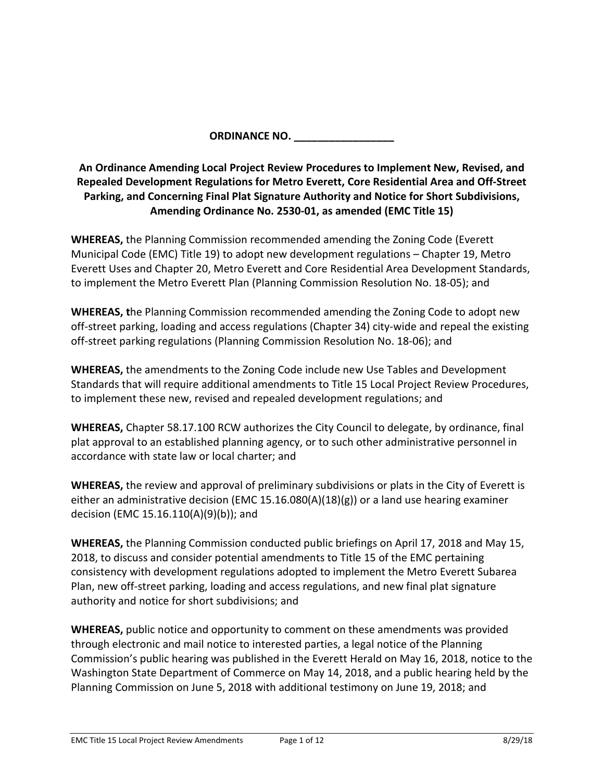**ORDINANCE NO. \_\_\_\_\_\_\_\_\_\_\_\_\_\_\_\_\_**

# **An Ordinance Amending Local Project Review Procedures to Implement New, Revised, and Repealed Development Regulations for Metro Everett, Core Residential Area and Off-Street Parking, and Concerning Final Plat Signature Authority and Notice for Short Subdivisions, Amending Ordinance No. 2530-01, as amended (EMC Title 15)**

**WHEREAS,** the Planning Commission recommended amending the Zoning Code (Everett Municipal Code (EMC) Title 19) to adopt new development regulations – Chapter 19, Metro Everett Uses and Chapter 20, Metro Everett and Core Residential Area Development Standards, to implement the Metro Everett Plan (Planning Commission Resolution No. 18-05); and

**WHEREAS, t**he Planning Commission recommended amending the Zoning Code to adopt new off-street parking, loading and access regulations (Chapter 34) city-wide and repeal the existing off-street parking regulations (Planning Commission Resolution No. 18-06); and

**WHEREAS,** the amendments to the Zoning Code include new Use Tables and Development Standards that will require additional amendments to Title 15 Local Project Review Procedures, to implement these new, revised and repealed development regulations; and

**WHEREAS,** Chapter 58.17.100 RCW authorizes the City Council to delegate, by ordinance, final plat approval to an established planning agency, or to such other administrative personnel in accordance with state law or local charter; and

**WHEREAS,** the review and approval of preliminary subdivisions or plats in the City of Everett is either an administrative decision (EMC 15.16.080(A)(18)(g)) or a land use hearing examiner decision (EMC 15.16.110(A)(9)(b)); and

**WHEREAS,** the Planning Commission conducted public briefings on April 17, 2018 and May 15, 2018, to discuss and consider potential amendments to Title 15 of the EMC pertaining consistency with development regulations adopted to implement the Metro Everett Subarea Plan, new off-street parking, loading and access regulations, and new final plat signature authority and notice for short subdivisions; and

**WHEREAS,** public notice and opportunity to comment on these amendments was provided through electronic and mail notice to interested parties, a legal notice of the Planning Commission's public hearing was published in the Everett Herald on May 16, 2018, notice to the Washington State Department of Commerce on May 14, 2018, and a public hearing held by the Planning Commission on June 5, 2018 with additional testimony on June 19, 2018; and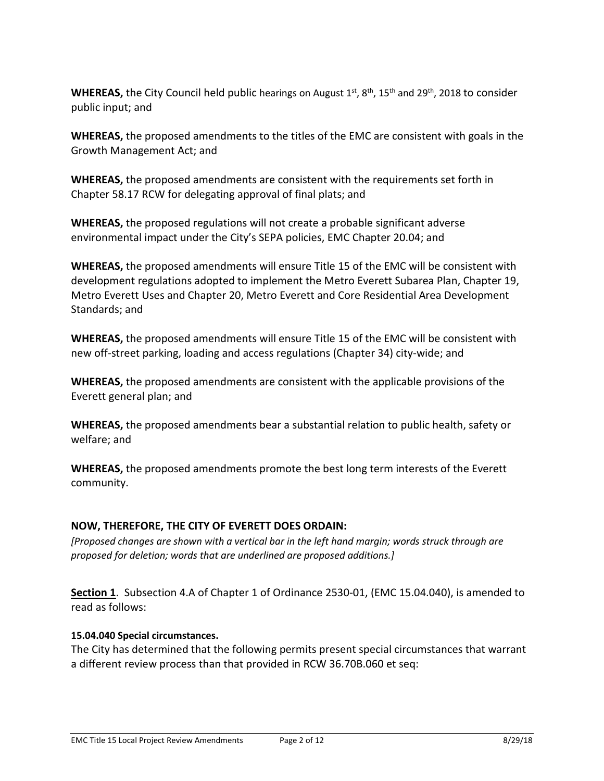**WHEREAS,** the City Council held public hearings on August 1st, 8<sup>th</sup>, 15<sup>th</sup> and 29<sup>th</sup>, 2018 to consider public input; and

**WHEREAS,** the proposed amendments to the titles of the EMC are consistent with goals in the Growth Management Act; and

**WHEREAS,** the proposed amendments are consistent with the requirements set forth in Chapter 58.17 RCW for delegating approval of final plats; and

**WHEREAS,** the proposed regulations will not create a probable significant adverse environmental impact under the City's SEPA policies, EMC Chapter 20.04; and

**WHEREAS,** the proposed amendments will ensure Title 15 of the EMC will be consistent with development regulations adopted to implement the Metro Everett Subarea Plan, Chapter 19, Metro Everett Uses and Chapter 20, Metro Everett and Core Residential Area Development Standards; and

**WHEREAS,** the proposed amendments will ensure Title 15 of the EMC will be consistent with new off-street parking, loading and access regulations (Chapter 34) city-wide; and

**WHEREAS,** the proposed amendments are consistent with the applicable provisions of the Everett general plan; and

**WHEREAS,** the proposed amendments bear a substantial relation to public health, safety or welfare; and

**WHEREAS,** the proposed amendments promote the best long term interests of the Everett community.

## **NOW, THEREFORE, THE CITY OF EVERETT DOES ORDAIN:**

*[Proposed changes are shown with a vertical bar in the left hand margin; words struck through are proposed for deletion; words that are underlined are proposed additions.]*

**Section 1**. Subsection 4.A of Chapter 1 of Ordinance 2530-01, (EMC 15.04.040), is amended to read as follows:

### **15.04.040 Special circumstances.**

The City has determined that the following permits present special circumstances that warrant a different review process than that provided in RCW 36.70B.060 et seq: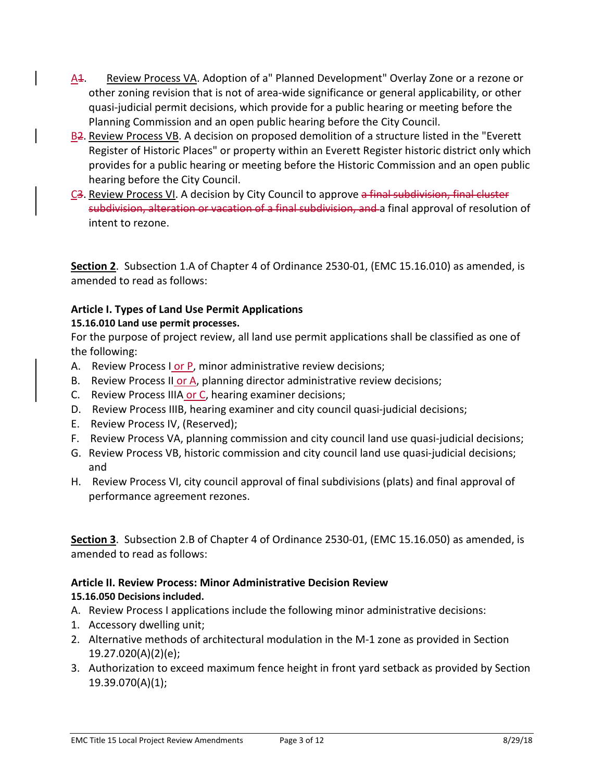- A<sub>4</sub>. Review Process VA. Adoption of a" Planned Development" Overlay Zone or a rezone or other zoning revision that is not of area-wide significance or general applicability, or other quasi-judicial permit decisions, which provide for a public hearing or meeting before the Planning Commission and an open public hearing before the City Council.
- B<sub>2</sub>. Review Process VB. A decision on proposed demolition of a structure listed in the "Everett" Register of Historic Places" or property within an Everett Register historic district only which provides for a public hearing or meeting before the Historic Commission and an open public hearing before the City Council.
- C<sub>3</sub>. Review Process VI. A decision by City Council to approve a final subdivision, final cluster subdivision, alteration or vacation of a final subdivision, and a final approval of resolution of intent to rezone.

**Section 2**. Subsection 1.A of Chapter 4 of Ordinance 2530-01, (EMC 15.16.010) as amended, is amended to read as follows:

## **Article I. Types of Land Use Permit Applications**

## **15.16.010 Land use permit processes.**

For the purpose of project review, all land use permit applications shall be classified as one of the following:

- A. Review Process I or P, minor administrative review decisions;
- B. Review Process II or A, planning director administrative review decisions;
- C. Review Process IIIA or C, hearing examiner decisions;
- D. Review Process IIIB, hearing examiner and city council quasi-judicial decisions;
- E. Review Process IV, (Reserved);
- F. Review Process VA, planning commission and city council land use quasi-judicial decisions;
- G. Review Process VB, historic commission and city council land use quasi-judicial decisions; and
- H. Review Process VI, city council approval of final subdivisions (plats) and final approval of performance agreement rezones.

**Section 3**. Subsection 2.B of Chapter 4 of Ordinance 2530-01, (EMC 15.16.050) as amended, is amended to read as follows:

#### **Article II. Review Process: Minor Administrative Decision Review 15.16.050 Decisions included.**

- A. Review Process I applications include the following minor administrative decisions:
- 1. Accessory dwelling unit;
- 2. Alternative methods of architectural modulation in the M-1 zone as provided in Section 19.27.020(A)(2)(e);
- 3. Authorization to exceed maximum fence height in front yard setback as provided by Section 19.39.070(A)(1);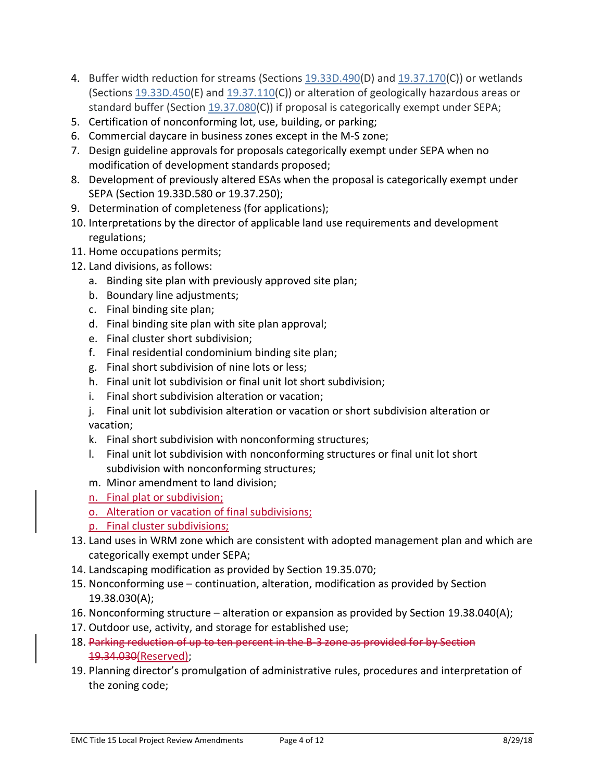- 4. Buffer width reduction for streams (Sections [19.33D.490\(](https://www.codepublishing.com/WA/Everett/#!/Everett19/Everett1933D.html#19.33D.490)D) and [19.37.170\(](https://www.codepublishing.com/WA/Everett/#!/Everett19/Everett1937.html#19.37.170)C)) or wetlands (Sections [19.33D.450\(](https://www.codepublishing.com/WA/Everett/#!/Everett19/Everett1933D.html#19.33D.450)E) and [19.37.110\(](https://www.codepublishing.com/WA/Everett/#!/Everett19/Everett1937.html#19.37.110)C)) or alteration of geologically hazardous areas or standard buffer (Section [19.37.080\(](https://www.codepublishing.com/WA/Everett/#!/Everett19/Everett1937.html#19.37.080)C)) if proposal is categorically exempt under SEPA;
- 5. Certification of nonconforming lot, use, building, or parking;
- 6. Commercial daycare in business zones except in the M-S zone;
- 7. Design guideline approvals for proposals categorically exempt under SEPA when no modification of development standards proposed;
- 8. Development of previously altered ESAs when the proposal is categorically exempt under SEPA (Section 19.33D.580 or 19.37.250);
- 9. Determination of completeness (for applications);
- 10. Interpretations by the director of applicable land use requirements and development regulations;
- 11. Home occupations permits;
- 12. Land divisions, as follows:
	- a. Binding site plan with previously approved site plan;
	- b. Boundary line adjustments;
	- c. Final binding site plan;
	- d. Final binding site plan with site plan approval;
	- e. Final cluster short subdivision;
	- f. Final residential condominium binding site plan;
	- g. Final short subdivision of nine lots or less;
	- h. Final unit lot subdivision or final unit lot short subdivision;
	- i. Final short subdivision alteration or vacation;
	- j. Final unit lot subdivision alteration or vacation or short subdivision alteration or vacation;
	- k. Final short subdivision with nonconforming structures;
	- l. Final unit lot subdivision with nonconforming structures or final unit lot short subdivision with nonconforming structures;
	- m. Minor amendment to land division;
	- n. Final plat or subdivision;
	- o. Alteration or vacation of final subdivisions;
	- p. Final cluster subdivisions;
- 13. Land uses in WRM zone which are consistent with adopted management plan and which are categorically exempt under SEPA;
- 14. Landscaping modification as provided by Section 19.35.070;
- 15. Nonconforming use continuation, alteration, modification as provided by Section 19.38.030(A);
- 16. Nonconforming structure alteration or expansion as provided by Section 19.38.040(A);
- 17. Outdoor use, activity, and storage for established use;
- 18. Parking reduction of up to ten percent in the B-3 zone as provided for by Section 19.34.030(Reserved);
- 19. Planning director's promulgation of administrative rules, procedures and interpretation of the zoning code;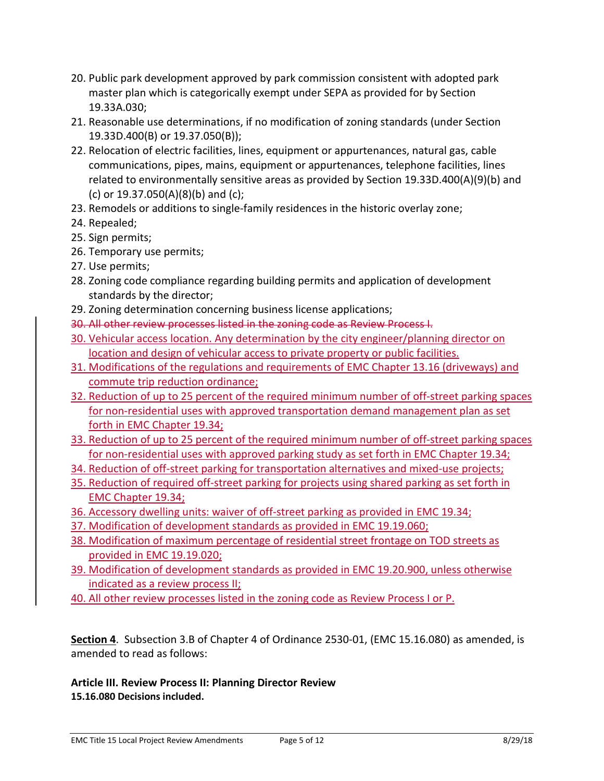- 20. Public park development approved by park commission consistent with adopted park master plan which is categorically exempt under SEPA as provided for by Section 19.33A.030;
- 21. Reasonable use determinations, if no modification of zoning standards (under Section 19.33D.400(B) or 19.37.050(B));
- 22. Relocation of electric facilities, lines, equipment or appurtenances, natural gas, cable communications, pipes, mains, equipment or appurtenances, telephone facilities, lines related to environmentally sensitive areas as provided by Section 19.33D.400(A)(9)(b) and (c) or 19.37.050(A)(8)(b) and (c);
- 23. Remodels or additions to single-family residences in the historic overlay zone;
- 24. Repealed;
- 25. Sign permits;
- 26. Temporary use permits;
- 27. Use permits;
- 28. Zoning code compliance regarding building permits and application of development standards by the director;
- 29. Zoning determination concerning business license applications;
- 30. All other review processes listed in the zoning code as Review Process I.
- 30. Vehicular access location. Any determination by the city engineer/planning director on location and design of vehicular access to private property or public facilities.
- 31. Modifications of the regulations and requirements of EMC Chapter 13.16 (driveways) and commute trip reduction ordinance;
- 32. Reduction of up to 25 percent of the required minimum number of off-street parking spaces for non-residential uses with approved transportation demand management plan as set forth in EMC Chapter 19.34;
- 33. Reduction of up to 25 percent of the required minimum number of off-street parking spaces for non-residential uses with approved parking study as set forth in EMC Chapter 19.34;
- 34. Reduction of off-street parking for transportation alternatives and mixed-use projects;
- 35. Reduction of required off-street parking for projects using shared parking as set forth in EMC Chapter 19.34;
- 36. Accessory dwelling units: waiver of off-street parking as provided in EMC 19.34;
- 37. Modification of development standards as provided in EMC 19.19.060;
- 38. Modification of maximum percentage of residential street frontage on TOD streets as provided in EMC 19.19.020;
- 39. Modification of development standards as provided in EMC 19.20.900, unless otherwise indicated as a review process II;
- 40. All other review processes listed in the zoning code as Review Process I or P.

**Section 4**. Subsection 3.B of Chapter 4 of Ordinance 2530-01, (EMC 15.16.080) as amended, is amended to read as follows:

**Article III. Review Process II: Planning Director Review 15.16.080 Decisions included.**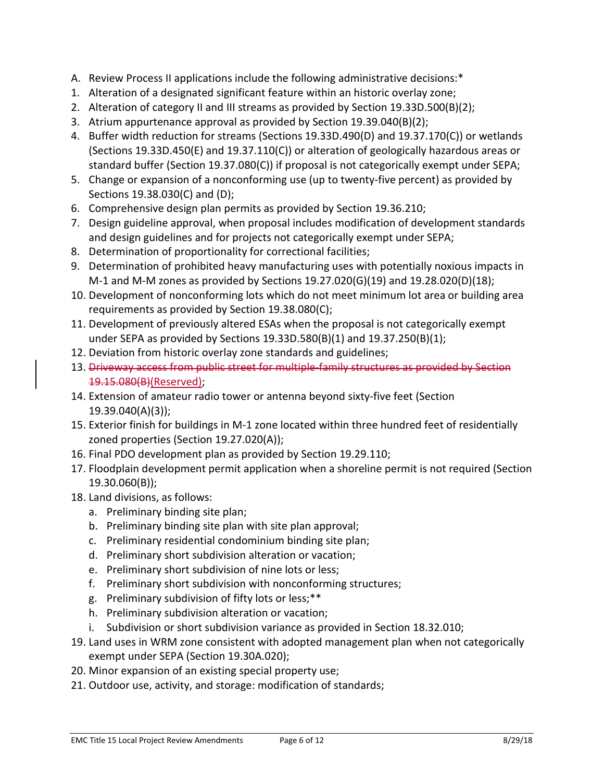- A. Review Process II applications include the following administrative decisions:\*
- 1. Alteration of a designated significant feature within an historic overlay zone;
- 2. Alteration of category II and III streams as provided by Section 19.33D.500(B)(2);
- 3. Atrium appurtenance approval as provided by Section 19.39.040(B)(2);
- 4. Buffer width reduction for streams (Sections 19.33D.490(D) and 19.37.170(C)) or wetlands (Sections 19.33D.450(E) and 19.37.110(C)) or alteration of geologically hazardous areas or standard buffer (Section 19.37.080(C)) if proposal is not categorically exempt under SEPA;
- 5. Change or expansion of a nonconforming use (up to twenty-five percent) as provided by Sections 19.38.030(C) and (D);
- 6. Comprehensive design plan permits as provided by Section 19.36.210;
- 7. Design guideline approval, when proposal includes modification of development standards and design guidelines and for projects not categorically exempt under SEPA;
- 8. Determination of proportionality for correctional facilities;
- 9. Determination of prohibited heavy manufacturing uses with potentially noxious impacts in M-1 and M-M zones as provided by Sections 19.27.020(G)(19) and 19.28.020(D)(18);
- 10. Development of nonconforming lots which do not meet minimum lot area or building area requirements as provided by Section 19.38.080(C);
- 11. Development of previously altered ESAs when the proposal is not categorically exempt under SEPA as provided by Sections 19.33D.580(B)(1) and 19.37.250(B)(1);
- 12. Deviation from historic overlay zone standards and guidelines;
- 13. Driveway access from public street for multiple-family structures as provided by Section 19.15.080(B)(Reserved);
- 14. Extension of amateur radio tower or antenna beyond sixty-five feet (Section 19.39.040(A)(3));
- 15. Exterior finish for buildings in M-1 zone located within three hundred feet of residentially zoned properties (Section 19.27.020(A));
- 16. Final PDO development plan as provided by Section 19.29.110;
- 17. Floodplain development permit application when a shoreline permit is not required (Section 19.30.060(B));
- 18. Land divisions, as follows:
	- a. Preliminary binding site plan;
	- b. Preliminary binding site plan with site plan approval;
	- c. Preliminary residential condominium binding site plan;
	- d. Preliminary short subdivision alteration or vacation;
	- e. Preliminary short subdivision of nine lots or less;
	- f. Preliminary short subdivision with nonconforming structures;
	- g. Preliminary subdivision of fifty lots or less;\*\*
	- h. Preliminary subdivision alteration or vacation;
	- i. Subdivision or short subdivision variance as provided in Section 18.32.010;
- 19. Land uses in WRM zone consistent with adopted management plan when not categorically exempt under SEPA (Section 19.30A.020);
- 20. Minor expansion of an existing special property use;
- 21. Outdoor use, activity, and storage: modification of standards;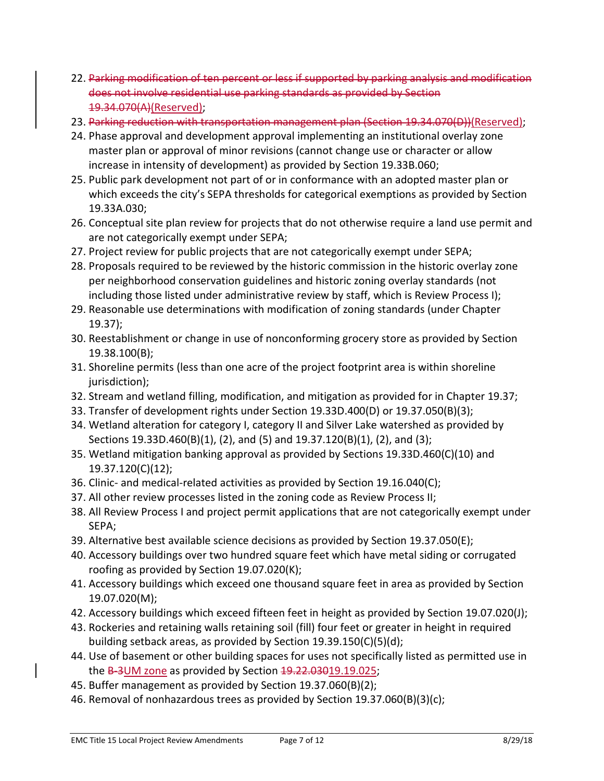- 22. Parking modification of ten percent or less if supported by parking does not involve residential use parking standards as provided b 19.34.070(A)(Reserved);
- 23. Parking reduction with transportation management plan (Section 19.34.070(D))(Reserved);
- 24. Phase approval and development approval implementing an institutional overlay zone master plan or approval of minor revisions (cannot change use or character or allow increase in intensity of development) as provided by Section 19.33B.060;
- 25. Public park development not part of or in conformance with an adopted master plan or which exceeds the city's SEPA thresholds for categorical exemptions as provided by Section 19.33A.030;
- 26. Conceptual site plan review for projects that do not otherwise require a land use permit and are not categorically exempt under SEPA;
- 27. Project review for public projects that are not categorically exempt under SEPA;
- 28. Proposals required to be reviewed by the historic commission in the historic overlay zone per neighborhood conservation guidelines and historic zoning overlay standards (not including those listed under administrative review by staff, which is Review Process I);
- 29. Reasonable use determinations with modification of zoning standards (under Chapter 19.37);
- 30. Reestablishment or change in use of nonconforming grocery store as provided by Section 19.38.100(B);
- 31. Shoreline permits (less than one acre of the project footprint area is within shoreline jurisdiction);
- 32. Stream and wetland filling, modification, and mitigation as provided for in Chapter 19.37;
- 33. Transfer of development rights under Section 19.33D.400(D) or 19.37.050(B)(3);
- 34. Wetland alteration for category I, category II and Silver Lake watershed as provided by Sections 19.33D.460(B)(1), (2), and (5) and 19.37.120(B)(1), (2), and (3);
- 35. Wetland mitigation banking approval as provided by Sections 19.33D.460(C)(10) and 19.37.120(C)(12);
- 36. Clinic- and medical-related activities as provided by Section 19.16.040(C);
- 37. All other review processes listed in the zoning code as Review Process II;
- 38. All Review Process I and project permit applications that are not categorically exempt under SEPA;
- 39. Alternative best available science decisions as provided by Section 19.37.050(E);
- 40. Accessory buildings over two hundred square feet which have metal siding or corrugated roofing as provided by Section 19.07.020(K);
- 41. Accessory buildings which exceed one thousand square feet in area as provided by Section 19.07.020(M);
- 42. Accessory buildings which exceed fifteen feet in height as provided by Section 19.07.020(J);
- 43. Rockeries and retaining walls retaining soil (fill) four feet or greater in height in required building setback areas, as provided by Section 19.39.150(C)(5)(d);
- 44. Use of basement or other building spaces for uses not specifically listed as permitted use in the B-3UM zone as provided by Section 19.22.03019.19.025;
- 45. Buffer management as provided by Section 19.37.060(B)(2);
- 46. Removal of nonhazardous trees as provided by Section 19.37.060(B)(3)(c);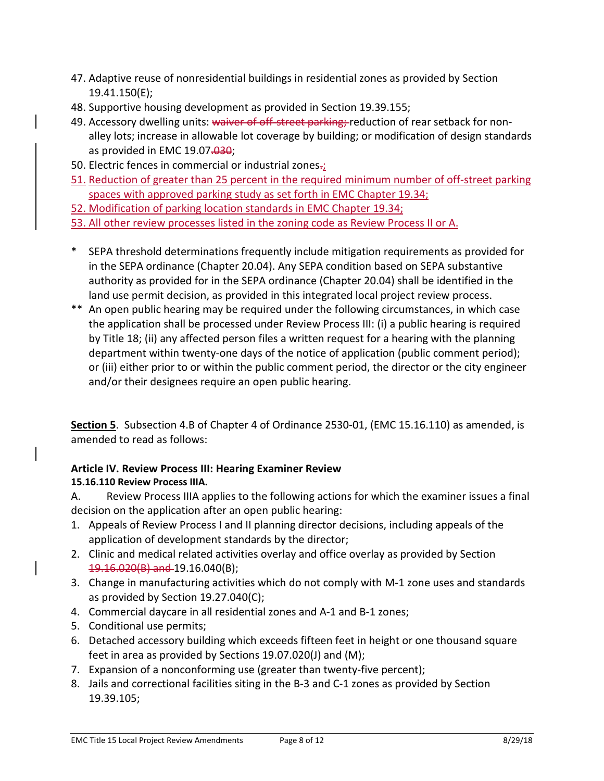- 47. Adaptive reuse of nonresidential buildings in residential zones as provided by Section 19.41.150(E);
- 48. Supportive housing development as provided in Section 19.39.155;
- 49. Accessory dwelling units: waiver of off-street parking; reduction of rear setback for nonalley lots; increase in allowable lot coverage by building; or modification of design standards as provided in EMC 19.07.030;
- 50. Electric fences in commercial or industrial zones-;
- 51. Reduction of greater than 25 percent in the required minimum number of off-street parking spaces with approved parking study as set forth in EMC Chapter 19.34;
- 52. Modification of parking location standards in EMC Chapter 19.34;
- 53. All other review processes listed in the zoning code as Review Process II or A.
- SEPA threshold determinations frequently include mitigation requirements as provided for in the SEPA ordinance (Chapter 20.04). Any SEPA condition based on SEPA substantive authority as provided for in the SEPA ordinance (Chapter 20.04) shall be identified in the land use permit decision, as provided in this integrated local project review process.
- \*\* An open public hearing may be required under the following circumstances, in which case the application shall be processed under Review Process III: (i) a public hearing is required by Title 18; (ii) any affected person files a written request for a hearing with the planning department within twenty-one days of the notice of application (public comment period); or (iii) either prior to or within the public comment period, the director or the city engineer and/or their designees require an open public hearing.

**Section 5**. Subsection 4.B of Chapter 4 of Ordinance 2530-01, (EMC 15.16.110) as amended, is amended to read as follows:

## **Article IV. Review Process III: Hearing Examiner Review 15.16.110 Review Process IIIA.**

A. Review Process IIIA applies to the following actions for which the examiner issues a final decision on the application after an open public hearing:

- 1. Appeals of Review Process I and II planning director decisions, including appeals of the application of development standards by the director;
- 2. Clinic and medical related activities overlay and office overlay as provided by Section 19.16.020(B) and 19.16.040(B);
- 3. Change in manufacturing activities which do not comply with M-1 zone uses and standards as provided by Section 19.27.040(C);
- 4. Commercial daycare in all residential zones and A-1 and B-1 zones;
- 5. Conditional use permits;
- 6. Detached accessory building which exceeds fifteen feet in height or one thousand square feet in area as provided by Sections 19.07.020(J) and (M);
- 7. Expansion of a nonconforming use (greater than twenty-five percent);
- 8. Jails and correctional facilities siting in the B-3 and C-1 zones as provided by Section 19.39.105;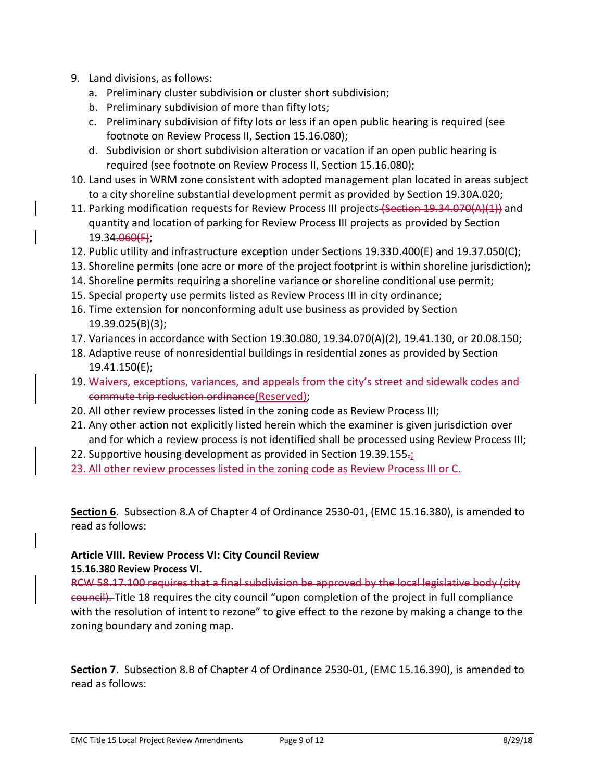- 9. Land divisions, as follows:
	- a. Preliminary cluster subdivision or cluster short subdivision;
	- b. Preliminary subdivision of more than fifty lots;
	- c. Preliminary subdivision of fifty lots or less if an open public hearing is required (see footnote on Review Process II, Section 15.16.080);
	- d. Subdivision or short subdivision alteration or vacation if an open public hearing is required (see footnote on Review Process II, Section 15.16.080);
- 10. Land uses in WRM zone consistent with adopted management plan located in areas subject to a city shoreline substantial development permit as provided by Section 19.30A.020;
- 11. Parking modification requests for Review Process III projects (Section 19.34.070(A)(1)) and quantity and location of parking for Review Process III projects as provided by Section 19.34.060(F);
- 12. Public utility and infrastructure exception under Sections 19.33D.400(E) and 19.37.050(C);
- 13. Shoreline permits (one acre or more of the project footprint is within shoreline jurisdiction);
- 14. Shoreline permits requiring a shoreline variance or shoreline conditional use permit;
- 15. Special property use permits listed as Review Process III in city ordinance;
- 16. Time extension for nonconforming adult use business as provided by Section 19.39.025(B)(3);
- 17. Variances in accordance with Section 19.30.080, 19.34.070(A)(2), 19.41.130, or 20.08.150;
- 18. Adaptive reuse of nonresidential buildings in residential zones as provided by Section 19.41.150(E);
- 19. Waivers, exceptions, variances, and appeals from the city's street and sidewalk codes and commute trip reduction ordinance(Reserved);
- 20. All other review processes listed in the zoning code as Review Process III;
- 21. Any other action not explicitly listed herein which the examiner is given jurisdiction over and for which a review process is not identified shall be processed using Review Process III;
- 22. Supportive housing development as provided in Section 19.39.155 $\frac{1}{2}$
- 23. All other review processes listed in the zoning code as Review Process III or C.

**Section 6**. Subsection 8.A of Chapter 4 of Ordinance 2530-01, (EMC 15.16.380), is amended to read as follows:

### **Article VIII. Review Process VI: City Council Review**

### **15.16.380 Review Process VI.**

RCW 58.17.100 requires that a final subdivision be approved by the local legislative body (city council). Title 18 requires the city council "upon completion of the project in full compliance with the resolution of intent to rezone" to give effect to the rezone by making a change to the zoning boundary and zoning map.

**Section 7**. Subsection 8.B of Chapter 4 of Ordinance 2530-01, (EMC 15.16.390), is amended to read as follows: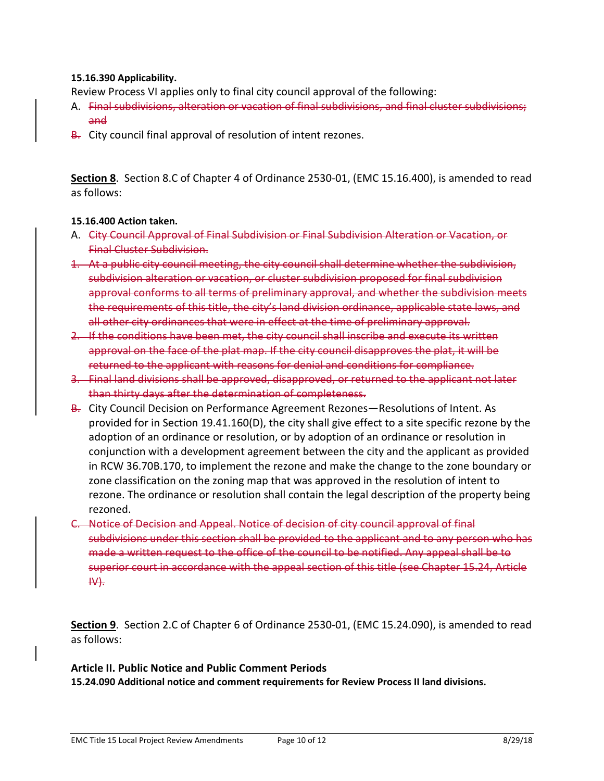#### **15.16.390 Applicability.**

Review Process VI applies only to final city council approval of the following:

- A. Final subdivisions, alteration or vacation of final subdivisions, and final cluster subdivisions; and
- B. City council final approval of resolution of intent rezones.

**Section 8**. Section 8.C of Chapter 4 of Ordinance 2530-01, (EMC 15.16.400), is amended to read as follows:

#### **15.16.400 Action taken.**

- A. City Council Approval of Final Subdivision or Final Subdivision Alteration or Vacation, or Final Cluster Subdivision.
- 1. At a public city council meeting, the city council shall determine whether the subdivision, subdivision alteration or vacation, or cluster subdivision proposed for final subdivision approval conforms to all terms of preliminary approval, and whether the subdivision meets the requirements of this title, the city's land division ordinance, applicable state laws, and all other city ordinances that were in effect at the time of preliminary approval.
- 2. If the conditions have been met, the city council shall inscribe and execute its written approval on the face of the plat map. If the city council disapproves the plat, it will be returned to the applicant with reasons for denial and conditions for compliance.
- 3. Final land divisions shall be approved, disapproved, or returned to the applicant not later than thirty days after the determination of completeness.
- B. City Council Decision on Performance Agreement Rezones—Resolutions of Intent. As provided for in Section 19.41.160(D), the city shall give effect to a site specific rezone by the adoption of an ordinance or resolution, or by adoption of an ordinance or resolution in conjunction with a development agreement between the city and the applicant as provided in RCW 36.70B.170, to implement the rezone and make the change to the zone boundary or zone classification on the zoning map that was approved in the resolution of intent to rezone. The ordinance or resolution shall contain the legal description of the property being rezoned.
- C. Notice of Decision and Appeal. Notice of decision of city council approval of final subdivisions under this section shall be provided to the applicant and to any person who has made a written request to the office of the council to be notified. Any appeal shall be to superior court in accordance with the appeal section of this title (see Chapter 15.24, Article IV).

**Section 9**. Section 2.C of Chapter 6 of Ordinance 2530-01, (EMC 15.24.090), is amended to read as follows:

**Article II. Public Notice and Public Comment Periods 15.24.090 Additional notice and comment requirements for Review Process II land divisions.**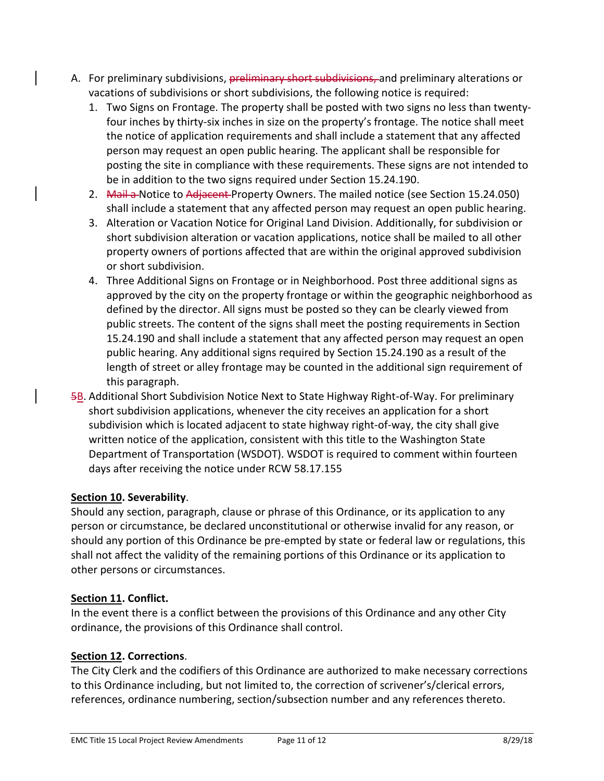- A. For preliminary subdivisions, preliminary short subdivisions, and preliminary alterations or vacations of subdivisions or short subdivisions, the following notice is required:
	- 1. Two Signs on Frontage. The property shall be posted with two signs no less than twentyfour inches by thirty-six inches in size on the property's frontage. The notice shall meet the notice of application requirements and shall include a statement that any affected person may request an open public hearing. The applicant shall be responsible for posting the site in compliance with these requirements. These signs are not intended to be in addition to the two signs required under Section 15.24.190.
	- 2. Mail a Notice to Adjacent Property Owners. The mailed notice (see Section 15.24.050) shall include a statement that any affected person may request an open public hearing.
	- 3. Alteration or Vacation Notice for Original Land Division. Additionally, for subdivision or short subdivision alteration or vacation applications, notice shall be mailed to all other property owners of portions affected that are within the original approved subdivision or short subdivision.
	- 4. Three Additional Signs on Frontage or in Neighborhood. Post three additional signs as approved by the city on the property frontage or within the geographic neighborhood as defined by the director. All signs must be posted so they can be clearly viewed from public streets. The content of the signs shall meet the posting requirements in Section 15.24.190 and shall include a statement that any affected person may request an open public hearing. Any additional signs required by Section 15.24.190 as a result of the length of street or alley frontage may be counted in the additional sign requirement of this paragraph.
- 5B. Additional Short Subdivision Notice Next to State Highway Right-of-Way. For preliminary short subdivision applications, whenever the city receives an application for a short subdivision which is located adjacent to state highway right-of-way, the city shall give written notice of the application, consistent with this title to the Washington State Department of Transportation (WSDOT). WSDOT is required to comment within fourteen days after receiving the notice under RCW 58.17.155

## **Section 10. Severability**.

Should any section, paragraph, clause or phrase of this Ordinance, or its application to any person or circumstance, be declared unconstitutional or otherwise invalid for any reason, or should any portion of this Ordinance be pre-empted by state or federal law or regulations, this shall not affect the validity of the remaining portions of this Ordinance or its application to other persons or circumstances.

## **Section 11. Conflict.**

In the event there is a conflict between the provisions of this Ordinance and any other City ordinance, the provisions of this Ordinance shall control.

## **Section 12. Corrections**.

The City Clerk and the codifiers of this Ordinance are authorized to make necessary corrections to this Ordinance including, but not limited to, the correction of scrivener's/clerical errors, references, ordinance numbering, section/subsection number and any references thereto.